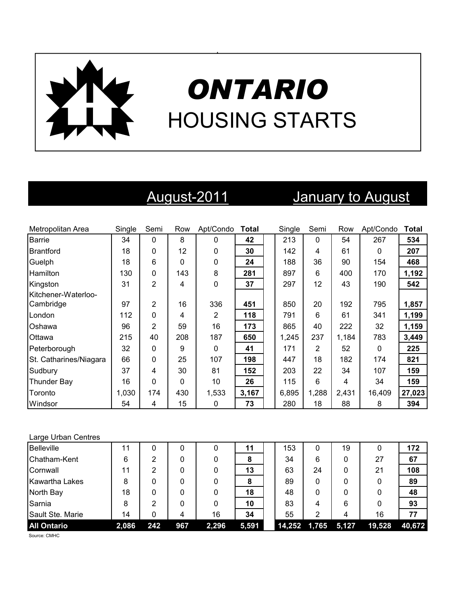

# *ONTARIO* HOUSING STARTS

## August-2011 January to August

| Metropolitan Area      | Single | Semi           | Row | Apt/Condo    | <b>Total</b> | Single | Semi  | Row   | Apt/Condo    | <b>Total</b> |
|------------------------|--------|----------------|-----|--------------|--------------|--------|-------|-------|--------------|--------------|
| Barrie                 | 34     | $\Omega$       | 8   | 0            | 42           | 213    | 0     | 54    | 267          | 534          |
| <b>Brantford</b>       | 18     | $\Omega$       | 12  | $\Omega$     | 30           | 142    | 4     | 61    | $\Omega$     | 207          |
| Guelph                 | 18     | 6              | 0   | $\mathbf{0}$ | 24           | 188    | 36    | 90    | 154          | 468          |
| <b>Hamilton</b>        | 130    | 0              | 143 | 8            | 281          | 897    | 6     | 400   | 170          | 1,192        |
| Kingston               | 31     | $\overline{2}$ | 4   | $\Omega$     | 37           | 297    | 12    | 43    | 190          | 542          |
| Kitchener-Waterloo-    |        |                |     |              |              |        |       |       |              |              |
| Cambridge              | 97     | 2              | 16  | 336          | 451          | 850    | 20    | 192   | 795          | 1,857        |
| London                 | 112    | $\Omega$       | 4   | 2            | 118          | 791    | 6     | 61    | 341          | 1,199        |
| Oshawa                 | 96     | $\overline{2}$ | 59  | 16           | 173          | 865    | 40    | 222   | 32           | 1,159        |
| Ottawa                 | 215    | 40             | 208 | 187          | 650          | 1,245  | 237   | 1,184 | 783          | 3,449        |
| Peterborough           | 32     | $\Omega$       | 9   | $\Omega$     | 41           | 171    | 2     | 52    | $\mathbf{0}$ | 225          |
| St. Catharines/Niagara | 66     | $\Omega$       | 25  | 107          | 198          | 447    | 18    | 182   | 174          | 821          |
| Sudbury                | 37     | 4              | 30  | 81           | 152          | 203    | 22    | 34    | 107          | 159          |
| Thunder Bay            | 16     | $\Omega$       | 0   | 10           | 26           | 115    | 6     | 4     | 34           | 159          |
| Toronto                | 1,030  | 174            | 430 | 1,533        | 3,167        | 6,895  | 1,288 | 2,431 | 16,409       | 27,023       |
| Windsor                | 54     | 4              | 15  | 0            | 73           | 280    | 18    | 88    | 8            | 394          |

#### Large Urban Centres

| <b>Belleville</b>  | 11    |     |     |       | 11    | 153    | 0     | 19    | 0      | 172    |
|--------------------|-------|-----|-----|-------|-------|--------|-------|-------|--------|--------|
| Chatham-Kent       | 6     | っ   |     |       | 8     | 34     | 6     | 0     | 27     | 67     |
| Cornwall           | 11    | 2   |     |       | 13    | 63     | 24    | 0     | 21     | 108    |
| Kawartha Lakes     | 8     |     |     |       | 8     | 89     | 0     |       | 0      | 89     |
| North Bay          | 18    | 0   |     |       | 18    | 48     | 0     | 0     | 0      | 48     |
| Sarnia             | 8     | 2   |     |       | 10    | 83     | 4     | 6     | 0      | 93     |
| Sault Ste. Marie   | 14    | 0   | 4   | 16    | 34    | 55     | 2     | 4     | 16     | 77     |
| <b>All Ontario</b> | 2,086 | 242 | 967 | 2,296 | 5,591 | 14,252 | 1,765 | 5,127 | 19,528 | 40,672 |

Source: CMHC